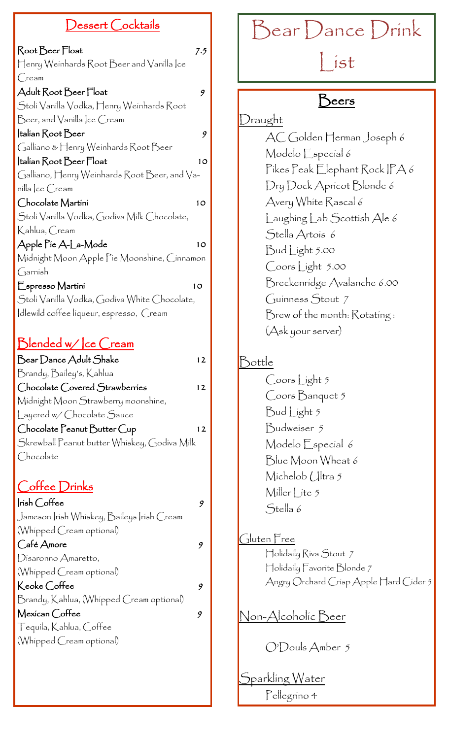### Dessert Cocktails

| Root Beer Float                                                                                                                                 | 7.5 |
|-------------------------------------------------------------------------------------------------------------------------------------------------|-----|
| $\operatorname{\vdash}$ enry Weinhards $\operatorname{\mathsf{Root}}$ $\operatorname{\mathsf{Dec}}$ r and $\operatorname{\mathsf{Vanilla}}$  ce |     |
| $\bigcirc$ ream                                                                                                                                 |     |
| Adult Root Beer Float                                                                                                                           | 9   |
| Stolí Vanílla Vodka, Henry Weínhards Root                                                                                                       |     |
| $\mathop{\mathsf{Bcer}}\nolimits$ and $\mathop{\mathsf{Vanilla}}\nolimits$ lce $\mathop{\mathsf{Crem}}\nolimits$                                |     |
| Italian Root Beer                                                                                                                               | 9   |
| Galliano & Henry Weinhards Root Beer                                                                                                            |     |
| Italian Root Beer Float                                                                                                                         | 10  |
| Galliano, Henry Weinhards Root Beer, and Va-                                                                                                    |     |
| nílla  ce Cream                                                                                                                                 |     |
| Chocolate Martini                                                                                                                               | 10  |
| Stoli Vanilla Vodka, Godiva Milk Chocolate,                                                                                                     |     |
| Kahlua, Cream                                                                                                                                   |     |
| Apple Pie A-La-Mode                                                                                                                             | 10  |
| Midnight Moon Apple Pie Moonshine, Cinnamon                                                                                                     |     |
| Garnish                                                                                                                                         |     |
| Espresso Martini                                                                                                                                | 10  |
| Stoli Vanilla Vodka, Godiva White Chocolate,                                                                                                    |     |
| dlewild coffee liqueur, espresso, Cream                                                                                                         |     |

## Blended w/ | ce Cream

| Bear Dance Adult Shake                       | 12 |
|----------------------------------------------|----|
| Brandy, Baíley's, Kahlua                     |    |
| Chocolate Covered Strawberries               | 12 |
| Midnight Moon Strawberry moonshine,          |    |
| Layered w/ Chocolate Sauce                   |    |
| Chocolate Peanut Butter Cup                  | 12 |
| Skrewball Peanut butter Whiskey, Godiva Milk |    |
| Chocolate                                    |    |
|                                              |    |
| Coffee Drinks                                |    |
| Irish Coffee                                 | 9  |
| Jameson  rísh Whískey, Baileys  rísh Cream   |    |
| (Whipped Cream optional)                     |    |
| Café Amore                                   | 9  |
| Disaronno Amaretto,                          |    |
| (Whipped Cream optional)                     |    |
| Keoke Coffee                                 | 9  |
| Brandy, Kahlua, (Whipped Cream optional)     |    |
| Mexican Coffee                               | 9  |
| Tequíla, Kahlua, Coffee                      |    |
| (Whipped Cream optional)                     |    |

# Bear Dance Drink

# $\int$  ist

# Beers

Draught AC Golden Herman Joseph 6 Modelo Especial 6 Pikes Peak Elephant Rock IPA 6 Dry Dock Apricot Blonde 6 Avery White Rascal 6 Laughing Lab Scottish Ale 6 Stella Artois 6 Bud Light 5.00 Coors Light 5.00 Breckenridge Avalanche 6.00 Guinness Stout 7 Brew of the month: Rotating : (Ask your server) Bottle

Coors Light 5 Coors Banquet 5 Bud Light 5 Budweiser 5 Modelo Especial 6 Blue Moon Wheat 6 Michelob (Jltra 5 Miller  $\int$  ite 5 Stella 6

Gluten Free Holidaily Riva Stout 7 Holidaily Favorite Blonde 7 Angry Orchard Crisp Apple Hard Cider 5

Non-Alcoholic Beer

O'Douls Amber 5

Sparkling Water Pellegrino 4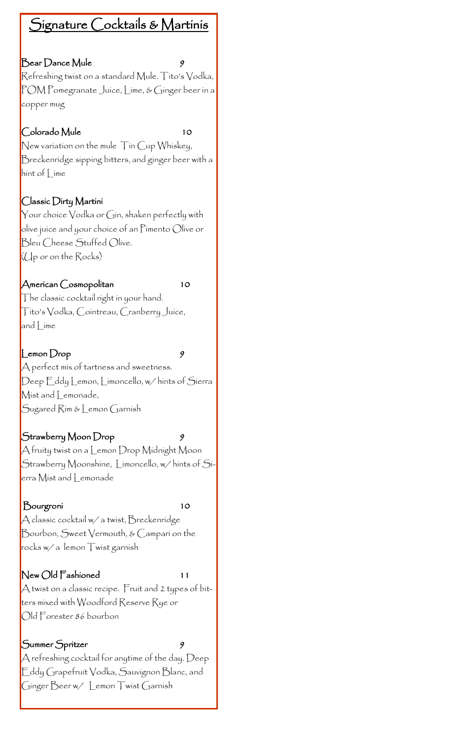## Signature Cocktails & Martinis

#### Bear Dance Mule 9

Refreshing twist on a standard Mule. Tito's Vodka, POM Pomegranate Juice, Lime, & Ginger beer in a copper mug

#### Colorado Mule 10

New variation on the mule Tin Cup Whiskey, Breckenridge sipping bitters, and ginger beer with a hint of Lime

#### Classic Dirty Martini

 $\bm{\mathsf{Y}}$ our choice  $\bm{\mathsf{V}}$ odka or  $\bm{\mathsf{G}}$ in, shaken perfectly with olive juice and your choice of an Pimento Olive or Bleu Cheese Stuffed Olive. (Up or on the Rocks)

#### American Cosmopolitan 10

The classic cocktail right in your hand. Tito's Vodka, Cointreau, Cranberry Juice, and | ime

#### $\Box$ emon  $\Box$ rop 9

A perfect mix of tartness and sweetness. Deep Eddy Lemon, Limoncello, w/ hints of Sierra Mist and Lemonade, Sugared Rim & Lemon Garnish

#### Strawberry Moon Drop 9

 $\bigwedge$  fruity twist on a Lemon Drop Midnight Moon Strawberry Moonshine, Limoncello, w/ hints of Sierra Mist and Lemonade

#### Bourgroni 10

 $\bigwedge$  classic cocktail w/ a twist,  $\bigtriangledown$ reckenridge Bourbon, Sweet Vermouth, & Campari on the rocks w/ a lemon Twist garnish

#### New Old Fashioned 11

A twist on a classic recipe. Fruit and 2 types of bitters mixed with Woodford Reserve Rye or Old Forester 86 bourbon

#### Summer Spritzer

 ${\sf A}$  refreshing cocktail for anytime of the day. Deep Eddy Grapefruit Vodka, Sauvignon Blanc, and Ginger Beer w/ Lemon Twist Garnish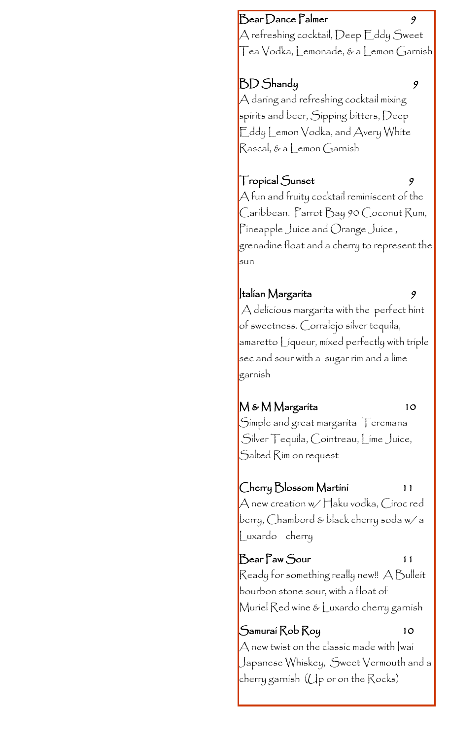#### Bear Dance Palmer

 ${\sf A}$  refreshing cocktail,  ${\rm Deep}$   $\operatorname{\sf E}$ ddy  ${\rm Sweet}$ Tea Vodka, Lemonade, & a Lemon Garnish

## BD Shandy 9

A daring and refreshing cocktail mixing spirits and beer, Sipping bitters, Deep Eddy Lemon Vodka, and Avery White Rascal, & a Lemon Garnish

## Tropical Sunset 9

A fun and fruity cocktail reminiscent of the Caribbean. Parrot Bay 90 Coconut Rum, Pineapple Juice and Orange Juice , grenadine float and a cherry to represent the sun

### $\vert$ talian Margarita  $\theta$

A delicious margarita with the perfect hint of sweetness. Corralejo silver tequila, amaretto Liqueur, mixed perfectly with triple sec and sour with a sugar rim and a lime garnish

## M & M Margarita 10

Simple and great margarita  $\top$ eremana Silver Tequila, Cointreau, Lime Juice, Salted Rim on request

## Cherry Blossom Martini 11

A new creation w/ Haku vodka, Ciroc red berry, Chambord & black cherry soda w/ a Luxardo cherry

## Bear Paw Sour 11

Ready for something really new!! A Bulleit bourbon stone sour, with a float of Muriel Red wine & Luxardo cherry garnish

## Samurai Rob Roy 10

 $\forall$  new twist on the classic made with |wai Japanese Whiskey, Sweet Vermouth and a cherry garnish (Up or on the Rocks)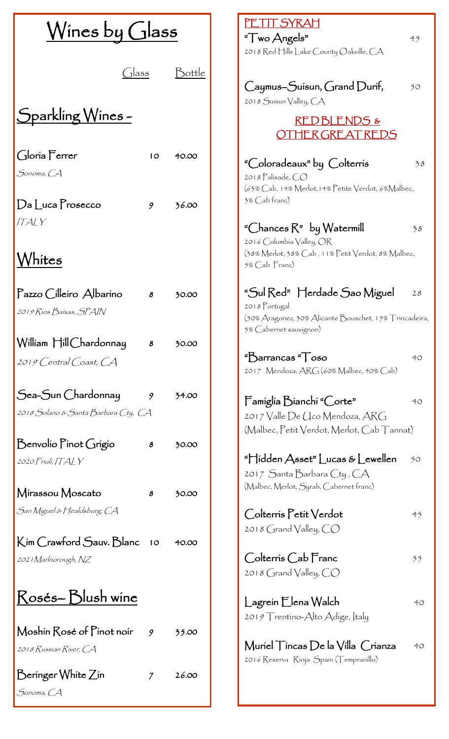| $W$ ines by Glass                                                      |             | <u>PETIT SYRAH</u><br>"Two Angels"<br>45<br>2018 Red Hills Lake County Oakville, CA                                                                   |
|------------------------------------------------------------------------|-------------|-------------------------------------------------------------------------------------------------------------------------------------------------------|
| assاں)<br>Sparkling Wines-                                             | Dottle      | Caymus-Suisun, Grand Durif,<br>50<br>2018 Suisun Valley, CA<br>RED BLENDS &                                                                           |
| Gloría Ferrer<br>Sonoma, CA                                            | 10<br>40.00 | HER GREAT REDS<br>"Coloradeaux" by Colterris<br>38<br>2018 Palisade, CO<br>(63% Cab, 14% Merlot, 14% Petite Verdot, 6% Malbec,                        |
| $Da$ $Luca$ $Prosecco$<br>9<br><b>ITALY</b><br>Vhítes                  | 36.00       | 3% Cab franc)<br>"Chances $R$ " by Watermill<br>38<br>2016 Columbia Valley, OR<br>(38% Merlot, 38% Cab, 11% Petit Verdot, 8% Malbec,<br>5% Cab Franc) |
| Pazzo Cilleiro Albarino<br>$\boldsymbol{s}$<br>2019 Ríos Baixas, SPAIN | 30.00       | "Sul Red" Herdade Sao Miguel<br>28<br>2018 Portugal<br>(50% Aragonez, 30% Alicante Bouschet, 15% Trincadeira,<br>5% Cabernet sauvignon)               |
| William Hill Chardonnay<br>$\pmb{8}$<br>2019 Central Coast, CA         | 30.00       | $"Barrancas"$ 050<br>40<br>2017 Mendoza, ARG (60% Malbec, 40% Cab)                                                                                    |
| Sea-Sun Chardonnay<br>9<br>2018 Solano & Santa Barbara Cty, CA         | 34.00       | Famíglía Bíanchí "Corte"<br>40<br>2017 Valle De Llco Mendoza, ARG<br>(Malbec, Petit Verdot, Merlot, Cab Tannat)                                       |
| Benvolio Pinot Grigio<br>$\pmb{8}$<br>2020 Friuli, ITALY               | 30.00       | "Hidden Asset" Lucas & Lewellen<br>50<br>2017 Santa Barbara Cty, CA<br>(Malbec, Merlot, Syrah, Cabernet franc)                                        |
| Mirassou Moscato<br>$\boldsymbol{s}$<br>San Miguel & Healdsburg, CA    | 30.00       | Colterris Petit Verdot<br>45<br>2018 $G$ rand Valley, $CO$                                                                                            |
| Kim Crawford Sauv. Blanc<br>10<br>2021 Marlnorough, NZ                 | 40.00       | Colterris Cab Franc<br>55<br>2018 $G$ rand Valley, $CO$                                                                                               |
| Rosés-Blush wine                                                       |             | Lagrein Elena Walch<br>40<br>2019 Trentino-Alto Adige, Italy                                                                                          |
| Moshin Rosé of Pinot noir<br>9<br>2018 Russian River, CA               | 35.00       | Muriel $\top$ incas $D$ e la Villa Crianza<br>40<br>2016 Reserva Rioja Spain (Tempranillo)                                                            |
| Beringer White Zin<br>7<br>Sonoma, CA                                  | 26.00       |                                                                                                                                                       |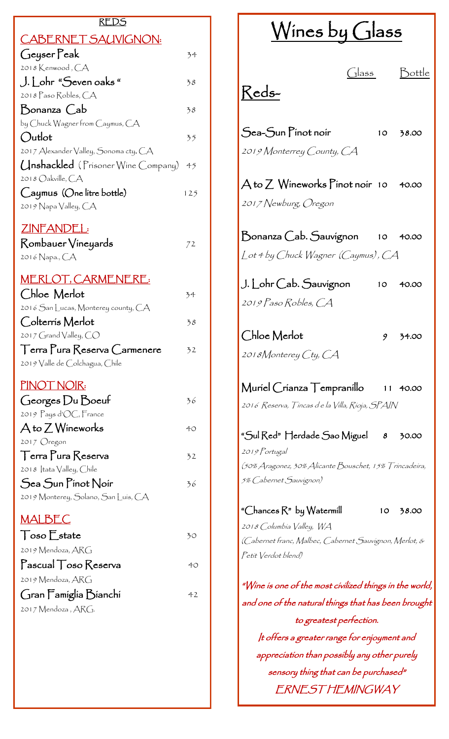| REDS                                                                                           |     |  |
|------------------------------------------------------------------------------------------------|-----|--|
| <u>CABERNET SAUVIGNON:</u>                                                                     |     |  |
| Geyser Peak                                                                                    | 34  |  |
| 2018 Kenwood, CA                                                                               |     |  |
| J. Lohr "Seven oaks "<br>2018 Paso Robles, CA                                                  | 38  |  |
| Donanza Cab                                                                                    | 38  |  |
| by Chuck Wagner from Caymus, CA                                                                |     |  |
| Outlot                                                                                         | 35  |  |
| 2017 Alexander Valley, Sonoma cty. CA                                                          |     |  |
| (Inshackled (Prisoner Wine Company)<br>2018 Oakville, CA                                       | 45  |  |
| Caymus (One litre bottle)                                                                      | 125 |  |
| 2019 Napa Valley, CA                                                                           |     |  |
| ZINFANDEL:                                                                                     |     |  |
| Rombauer Vineyards                                                                             | 72  |  |
| 201 <i>6</i> Napa., CA                                                                         |     |  |
| <u>MERLOT, CARMENERE:</u>                                                                      |     |  |
| Chloe Merlot                                                                                   | 34  |  |
| 2016 $S$ an Lucas, Monterey county, $CA$                                                       |     |  |
| Colterrís Merlot                                                                               | 38  |  |
| 2017 Grand Valley, $CO$                                                                        |     |  |
| $\lceil$ erra $\lceil$ ura $\lceil$ eserva $\lceil$ armenere<br>2019 Valle de Colchagua, Chile | 32  |  |
|                                                                                                |     |  |
| <u>PINOT NOIR:</u>                                                                             |     |  |
| Georges Du Boeuf                                                                               | 36  |  |
| 2019 Pays d'OC, France<br>A to 7 Wineworks                                                     |     |  |
| 2017 Oregon                                                                                    | 40  |  |
| $\top$ erra $\Gamma$ ura $\mathcal R$ eserva                                                   | 32  |  |
| 2018   tata Valley, Chile                                                                      |     |  |
| Sea Sun Pinot Noir                                                                             | 36  |  |
| 2019 Monterey, Solano, San Luís, CA                                                            |     |  |
| <u>MALBEC</u>                                                                                  |     |  |
| $\bigcap$ oso $\bigcup$ state                                                                  | 30  |  |
| 2019 Mendoza, ARG                                                                              |     |  |
| $\Gamma$ ascual $\top$ oso $\mathsf{Reserva}$                                                  | 40  |  |
| 2019 Mendoza, ARG                                                                              |     |  |
| Gran Famiglia Bianchi                                                                          | 42  |  |
| 2017 Mendoza , ARG.                                                                            |     |  |
|                                                                                                |     |  |
|                                                                                                |     |  |

| $W$ ines by Glass                                                                                                                                                                        |                 |                 |          |  |
|------------------------------------------------------------------------------------------------------------------------------------------------------------------------------------------|-----------------|-----------------|----------|--|
| Reds-                                                                                                                                                                                    | $\bigcirc$ lass |                 | Bottle   |  |
| $\mathcal S$ ea- $\mathcal S$ un $\mathcal F$ ínot noír<br>2019 Monterrey County, CA                                                                                                     |                 |                 | 10 38.00 |  |
| $\bm{\mathsf{A}}$ to $\bm{\mathsf{Z}}$ $\bm{\mathsf{W}}$ íneworks $\bm{\mathsf{P}}$ ínot noír   10      40.00<br>2017 Newburg, Oregon                                                    |                 |                 |          |  |
| $\,$ Bonanza $\,$ Cab. $\,$ Sauvígnon 10 40.00<br>Lot 4 by Chuck Wagner (Caymus), CA                                                                                                     |                 |                 |          |  |
| J. Lohr Cab. Sauvígnon<br>2019 Paso Robles, CA                                                                                                                                           |                 |                 | 10 40.00 |  |
| Chloe Merlot<br>2018Monterey Cty, CA                                                                                                                                                     |                 |                 | 9 34.00  |  |
| 2016 Reserva, Tíncas d e la Villa, Ríoja, SPAIN                                                                                                                                          |                 |                 |          |  |
| "Sul Red" Herdade Sao Míguel — 8<br>2019 Portugal<br>(50% Aragonez, 30% Alicante Bouschet, 15% Trincadeira,<br>5% Cabernet Sauvignon)                                                    |                 |                 | 30.00    |  |
| "Chances R" by Watermill<br>2018 Columbia Valley, WA<br>(Cabernet franc, Malbec, Cabernet Sauvignon, Merlot, &<br>Petit Verdot blend)                                                    |                 | 10 <sub>1</sub> | 38.00    |  |
| "Wine is one of the most civilized things in the world,<br>and one of the natural thíngs that has been brought<br>to greatest perfection.<br>It offers a greater range for enjoyment and |                 |                 |          |  |
| appreciation than possibly any other purely<br>sensory thing that can be purchased"                                                                                                      |                 |                 |          |  |

ERNEST HEMINGWAY